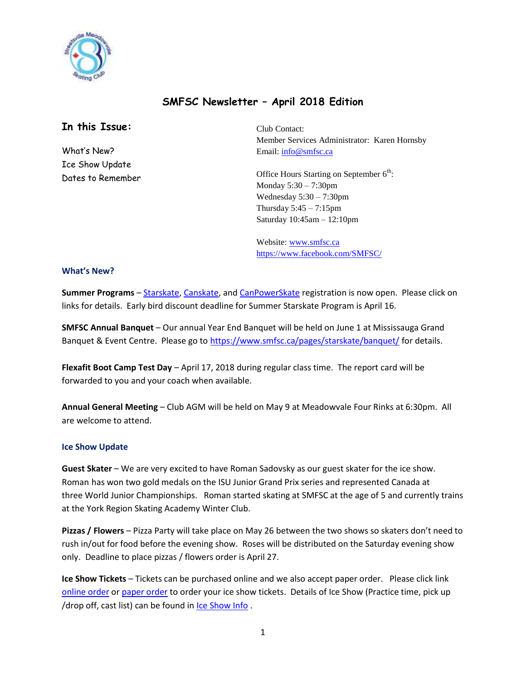

# **SMFSC Newsletter – April 2018 Edition**

# **In this Issue:**

What's New? Ice Show Update Dates to Remember Club Contact: Member Services Administrator: Karen Hornsby Email: [info@smfsc.ca](mailto:info@smfsc.ca)

Office Hours Starting on September  $6<sup>th</sup>$ : Monday 5:30 – 7:30pm Wednesday  $5:30 - 7:30$ pm Thursday  $5:45 - 7:15$ pm Saturday 10:45am – 12:10pm

Website[: www.smfsc.ca](http://www.smfsc.ca/) <https://www.facebook.com/SMFSC/>

#### **What's New?**

**Summer Programs** – [Starskate,](https://www.smfsc.ca/pages/starskate/schedule/) [Canskate,](https://www.smfsc.ca/pages/canskate/schedule/) and [CanPowerSkate](https://www.smfsc.ca/pages/canpower/schedule/) registration is now open. Please click on links for details. Early bird discount deadline for Summer Starskate Program is April 16.

**SMFSC Annual Banquet** – Our annual Year End Banquet will be held on June 1 at Mississauga Grand Banquet & Event Centre. Please go t[o https://www.smfsc.ca/pages/starskate/banquet/](https://www.smfsc.ca/pages/starskate/banquet/) for details.

**Flexafit Boot Camp Test Day** – April 17, 2018 during regular class time. The report card will be forwarded to you and your coach when available.

**Annual General Meeting** – Club AGM will be held on May 9 at Meadowvale Four Rinks at 6:30pm. All are welcome to attend.

### **Ice Show Update**

**Guest Skater** – We are very excited to have Roman Sadovsky as our guest skater for the ice show. Roman has won two gold medals on the [ISU Junior Grand Prix](https://en.wikipedia.org/wiki/ISU_Junior_Grand_Prix) series and represented Canada at three [World Junior Championships.](https://en.wikipedia.org/wiki/World_Junior_Figure_Skating_Championships) Roman started skating at SMFSC at the age of 5 and currently trains at the York Region Skating Academy Winter Club.

**Pizzas / Flowers** – Pizza Party will take place on May 26 between the two shows so skaters don't need to rush in/out for food before the evening show. Roses will be distributed on the Saturday evening show only. Deadline to place pizzas / flowers order is April 27.

**Ice Show Tickets** – Tickets can be purchased online and we also accept paper order. Please click link [online order](https://www.smfsc.ca/pages/ice-show/tickets-dvds-programs/) o[r paper order](https://www.smfsc.ca/sites/files/ICE%20Show%20ticket%20poster%20v2.pdf) to order your ice show tickets. Details of Ice Show (Practice time, pick up /drop off, cast list) can be found in [Ice Show Info](https://www.smfsc.ca/pages/ice-show/ice-show-info/).